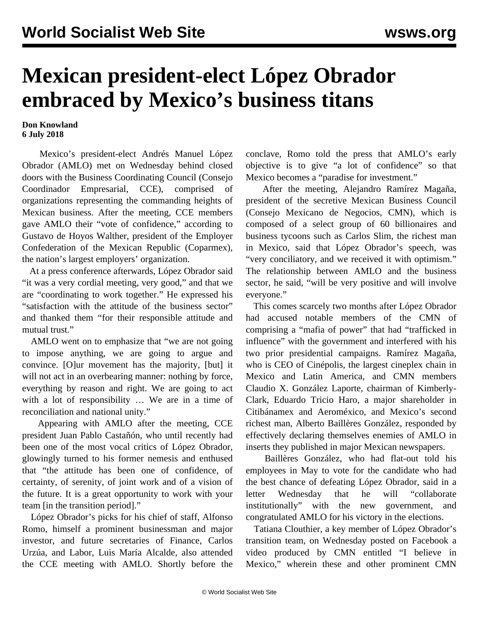## **Mexican president-elect López Obrador embraced by Mexico's business titans**

## **Don Knowland 6 July 2018**

 Mexico's president-elect Andrés Manuel López Obrador (AMLO) met on Wednesday behind closed doors with the Business Coordinating Council (Consejo Coordinador Empresarial, CCE), comprised of organizations representing the commanding heights of Mexican business. After the meeting, CCE members gave AMLO their "vote of confidence," according to Gustavo de Hoyos Walther, president of the Employer Confederation of the Mexican Republic (Coparmex), the nation's largest employers' organization.

 At a press conference afterwards, López Obrador said "it was a very cordial meeting, very good," and that we are "coordinating to work together." He expressed his "satisfaction with the attitude of the business sector" and thanked them "for their responsible attitude and mutual trust."

 AMLO went on to emphasize that "we are not going to impose anything, we are going to argue and convince. [O]ur movement has the majority, [but] it will not act in an overbearing manner: nothing by force, everything by reason and right. We are going to act with a lot of responsibility … We are in a time of reconciliation and national unity."

 Appearing with AMLO after the meeting, CCE president Juan Pablo Castañón, who until recently had been one of the most vocal critics of López Obrador, glowingly turned to his former nemesis and enthused that "the attitude has been one of confidence, of certainty, of serenity, of joint work and of a vision of the future. It is a great opportunity to work with your team [in the transition period]."

 López Obrador's picks for his chief of staff, Alfonso Romo, himself a prominent businessman and major investor, and future secretaries of Finance, Carlos Urzúa, and Labor, Luis María Alcalde, also attended the CCE meeting with AMLO. Shortly before the conclave, Romo told the press that AMLO's early objective is to give "a lot of confidence" so that Mexico becomes a "paradise for investment."

 After the meeting, Alejandro Ramírez Magaña, president of the secretive Mexican Business Council (Consejo Mexicano de Negocios, CMN), which is composed of a select group of 60 billionaires and business tycoons such as Carlos Slim, the richest man in Mexico, said that López Obrador's speech, was "very conciliatory, and we received it with optimism." The relationship between AMLO and the business sector, he said, "will be very positive and will involve everyone."

 This comes scarcely two months after López Obrador had accused notable members of the CMN of comprising a "mafia of power" that had "trafficked in influence" with the government and interfered with his two prior presidential campaigns. Ramírez Magaña, who is CEO of Cinépolis, the largest cineplex chain in Mexico and Latin America, and CMN members Claudio X. González Laporte, chairman of Kimberly-Clark, Eduardo Tricio Haro, a major shareholder in Citibánamex and Aeroméxico, and Mexico's second richest man, Alberto Baillères González, responded by effectively declaring themselves enemies of AMLO in inserts they published in major Mexican newspapers.

 Baillères González, who had flat-out told his employees in May to vote for the candidate who had the best chance of defeating López Obrador, said in a letter Wednesday that he will "collaborate institutionally" with the new government, and congratulated AMLO for his victory in the elections.

 Tatiana Clouthier, a key member of López Obrador's transition team, on Wednesday posted on Facebook [a](https://www.facebook.com/tatclouthier/videos/2162378973789794/?t=100) [video](https://www.facebook.com/tatclouthier/videos/2162378973789794/?t=100) produced by CMN entitled "I believe in Mexico," wherein these and other prominent CMN